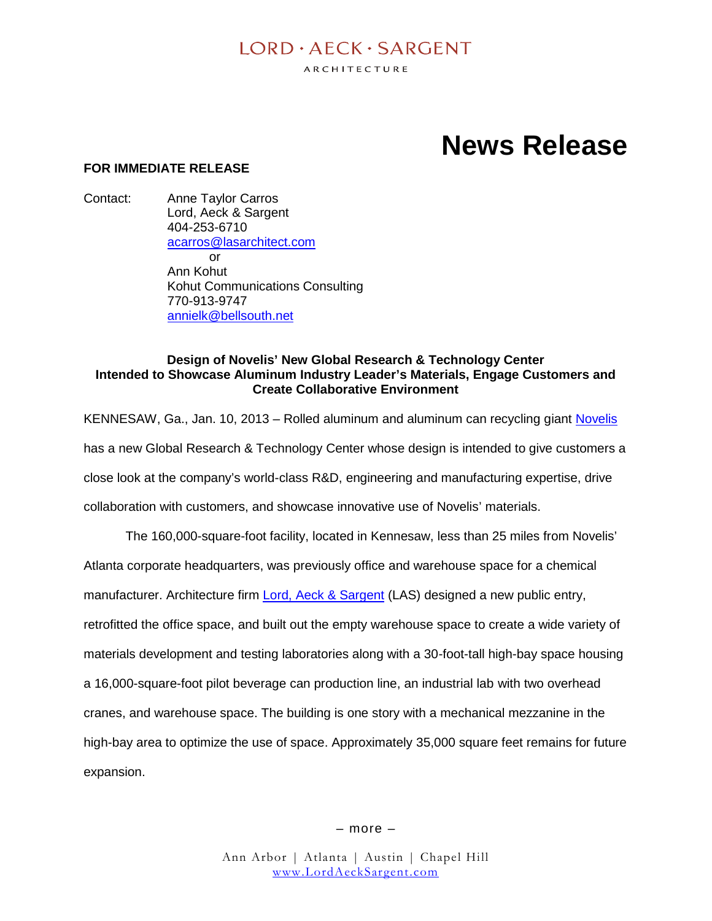# $I$  ORD  $\cdot$  AECK  $\cdot$  SARGENT

ARCHITECTURE

# **News Release**

# **FOR IMMEDIATE RELEASE**

Contact: Anne Taylor Carros Lord, Aeck & Sargent 404-253-6710 acarros@lasarchitect.com or Ann Kohut Kohut Communications Consulting 770-913-9747 annielk@bellsouth.net

#### **Design of Novelis' New Global Research & Technology Center Intended to Showcase Aluminum Industry Leader's Materials, Engage Customers and Create Collaborative Environment**

KENNESAW, Ga., Jan. 10, 2013 – Rolled aluminum and aluminum can recycling giant Novelis has a new Global Research & Technology Center whose design is intended to give customers a close look at the company's world-class R&D, engineering and manufacturing expertise, drive collaboration with customers, and showcase innovative use of Novelis' materials.

The 160,000-square-foot facility, located in Kennesaw, less than 25 miles from Novelis' Atlanta corporate headquarters, was previously office and warehouse space for a chemical manufacturer. Architecture firm Lord, Aeck & Sargent (LAS) designed a new public entry, retrofitted the office space, and built out the empty warehouse space to create a wide variety of materials development and testing laboratories along with a 30-foot-tall high-bay space housing a 16,000-square-foot pilot beverage can production line, an industrial lab with two overhead cranes, and warehouse space. The building is one story with a mechanical mezzanine in the high-bay area to optimize the use of space. Approximately 35,000 square feet remains for future expansion.

– more –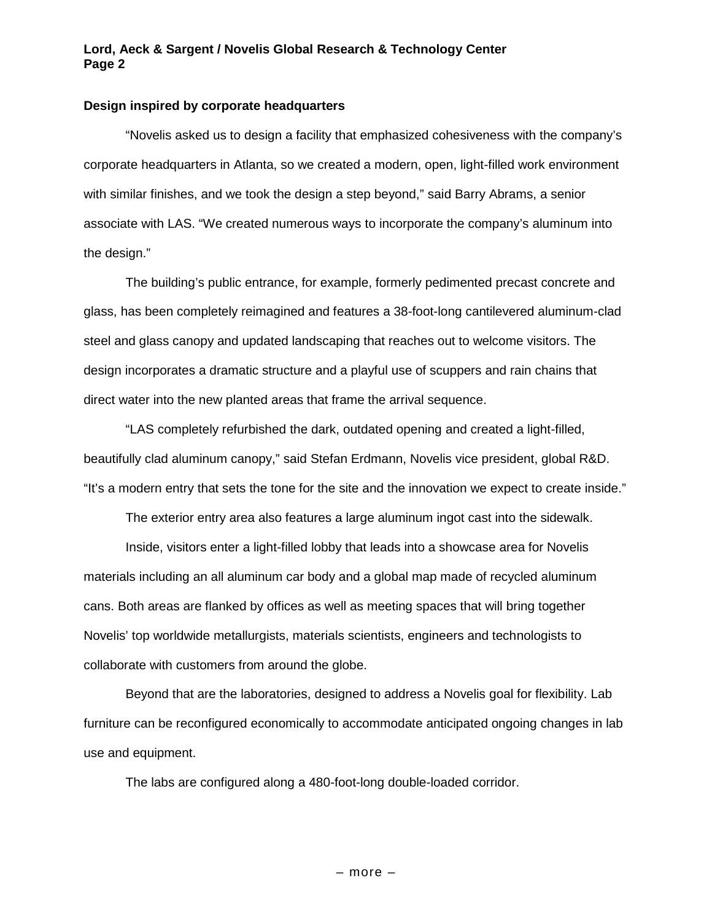# **Lord, Aeck & Sargent / Novelis Global Research & Technology Center Page 2**

#### **Design inspired by corporate headquarters**

"Novelis asked us to design a facility that emphasized cohesiveness with the company's corporate headquarters in Atlanta, so we created a modern, open, light-filled work environment with similar finishes, and we took the design a step beyond," said Barry Abrams, a senior associate with LAS. "We created numerous ways to incorporate the company's aluminum into the design."

The building's public entrance, for example, formerly pedimented precast concrete and glass, has been completely reimagined and features a 38-foot-long cantilevered aluminum-clad steel and glass canopy and updated landscaping that reaches out to welcome visitors. The design incorporates a dramatic structure and a playful use of scuppers and rain chains that direct water into the new planted areas that frame the arrival sequence.

"LAS completely refurbished the dark, outdated opening and created a light-filled, beautifully clad aluminum canopy," said Stefan Erdmann, Novelis vice president, global R&D. "It's a modern entry that sets the tone for the site and the innovation we expect to create inside."

The exterior entry area also features a large aluminum ingot cast into the sidewalk.

Inside, visitors enter a light-filled lobby that leads into a showcase area for Novelis materials including an all aluminum car body and a global map made of recycled aluminum cans. Both areas are flanked by offices as well as meeting spaces that will bring together Novelis' top worldwide metallurgists, materials scientists, engineers and technologists to collaborate with customers from around the globe.

Beyond that are the laboratories, designed to address a Novelis goal for flexibility. Lab furniture can be reconfigured economically to accommodate anticipated ongoing changes in lab use and equipment.

The labs are configured along a 480-foot-long double-loaded corridor.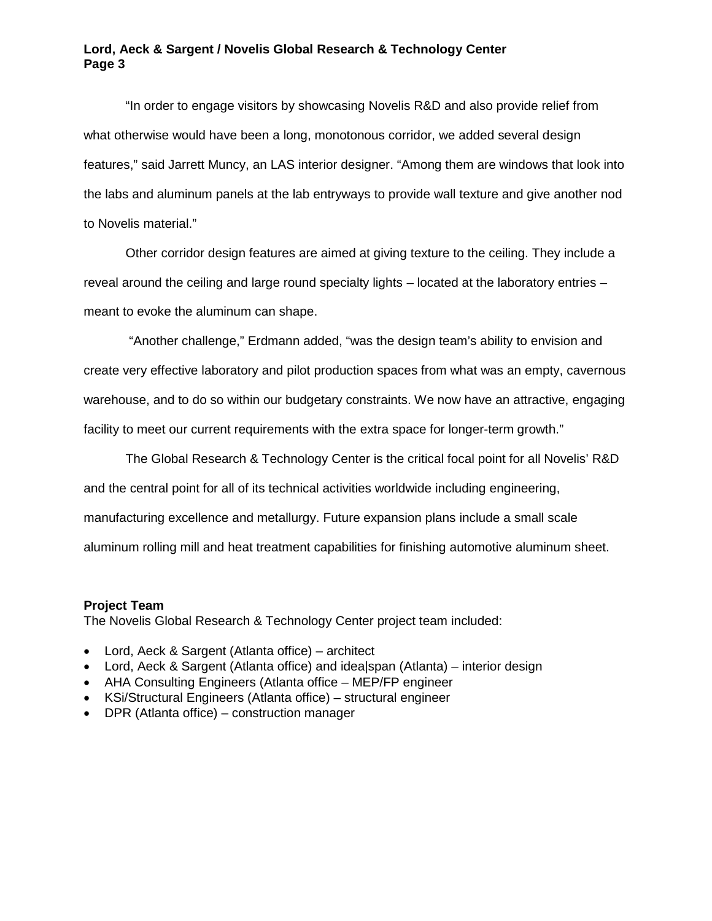### **Lord, Aeck & Sargent / Novelis Global Research & Technology Center Page 3**

"In order to engage visitors by showcasing Novelis R&D and also provide relief from what otherwise would have been a long, monotonous corridor, we added several design features," said Jarrett Muncy, an LAS interior designer. "Among them are windows that look into the labs and aluminum panels at the lab entryways to provide wall texture and give another nod to Novelis material."

Other corridor design features are aimed at giving texture to the ceiling. They include a reveal around the ceiling and large round specialty lights – located at the laboratory entries – meant to evoke the aluminum can shape.

"Another challenge," Erdmann added, "was the design team's ability to envision and create very effective laboratory and pilot production spaces from what was an empty, cavernous warehouse, and to do so within our budgetary constraints. We now have an attractive, engaging facility to meet our current requirements with the extra space for longer-term growth."

The Global Research & Technology Center is the critical focal point for all Novelis' R&D and the central point for all of its technical activities worldwide including engineering, manufacturing excellence and metallurgy. Future expansion plans include a small scale aluminum rolling mill and heat treatment capabilities for finishing automotive aluminum sheet.

#### **Project Team**

The Novelis Global Research & Technology Center project team included:

- Lord, Aeck & Sargent (Atlanta office) architect
- Lord, Aeck & Sargent (Atlanta office) and idea|span (Atlanta) interior design
- AHA Consulting Engineers (Atlanta office MEP/FP engineer
- KSi/Structural Engineers (Atlanta office) structural engineer
- DPR (Atlanta office) construction manager